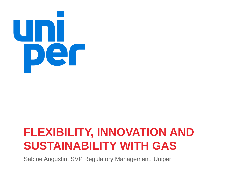

# **FLEXIBILITY, INNOVATION AND SUSTAINABILITY WITH GAS**

Sabine Augustin, SVP Regulatory Management, Uniper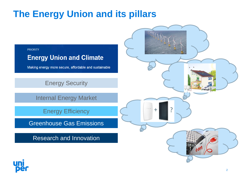### **The Energy Union and its pillars**



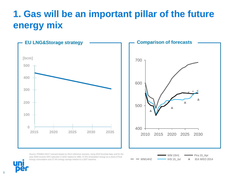### **1. Gas will be an important pillar of the future energy mix**



Source: PRIMES EE27 scenario based on 2013 reference scenario, using 2010 Eurostat data, and for the year 2030 involves 40% reduction in GHG relative to 1990, 27.8% renewables energy as a share of final energy consumption and 27.4% energy savings relative to a 2007 baseline.



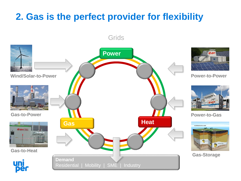### **2. Gas is the perfect provider for flexibility**



**Grids**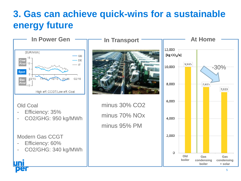# **3. Gas can achieve quick-wins for a sustainable energy future**

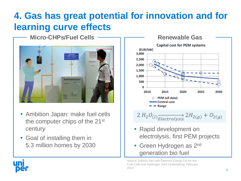# **4. Gas has great potential for innovation and for learning curve effects**



- Ambition Japan: make fuel cells the computer chips of the 21st century
- Goal of installing them in 5.3 million homes by 2030



- Rapid development on electrolysis, first PEM projects
- Green Hydrogen as 2<sup>nd</sup> generation bio fuel

Source: E4tech Sàrl with Element Energy Ltd for the Fuel Cells and Hydrogen Joint Undertaking, February 2014